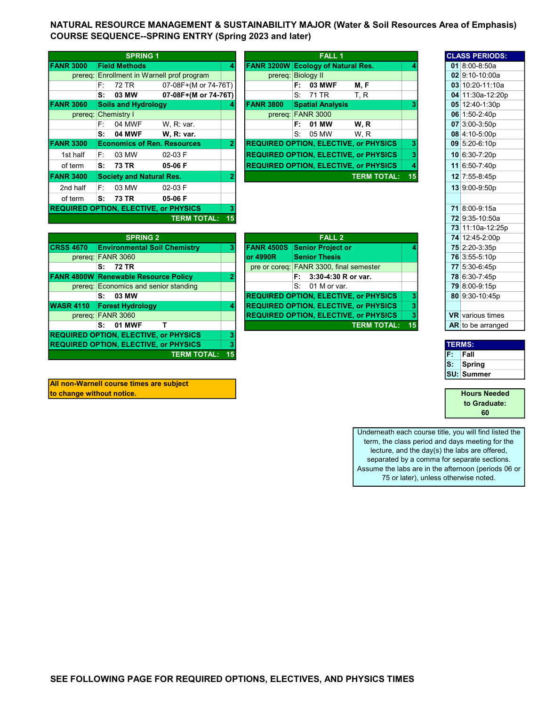NATURAL RESOURCE MANAGEMENT & SUSTAINABILITY MAJOR (Water & Soil Resources Area of Emphasis) COURSE SEQUENCE--SPRING ENTRY (Spring 2023 and later)

|                  |    | <b>SPRING 1</b>                 |                                              |    |                    |    | <b>FALL 1</b>                  |                                              |    |  | <b>CLASS PERIOD</b>  |
|------------------|----|---------------------------------|----------------------------------------------|----|--------------------|----|--------------------------------|----------------------------------------------|----|--|----------------------|
| <b>FANR 3000</b> |    | <b>Field Methods</b>            |                                              |    | <b>FANR 3200W</b>  |    | <b>Ecology of Natural Res.</b> |                                              |    |  | 01 8:00-8:50a        |
|                  |    |                                 | prereg: Enrollment in Warnell prof program   |    | prereg: Biology II |    |                                |                                              |    |  | 02 9:10-10:00a       |
|                  | F: | 72 TR                           | 07-08F+(M or 74-76T)                         |    |                    | F: | <b>03 MWF</b>                  | M, F                                         |    |  | 03 10:20-11:10       |
|                  | S: | 03 MW                           | 07-08F+(M or 74-76T)                         |    |                    | S: | 71 TR                          | T, R                                         |    |  | 04 11:30a-12:2       |
| <b>FANR 3060</b> |    | <b>Soils and Hydrology</b>      |                                              |    | <b>FANR 3800</b>   |    | <b>Spatial Analysis</b>        |                                              |    |  | 05 12:40-1:30p       |
|                  |    | prereq: Chemistry I             |                                              |    |                    |    | prereq: FANR 3000              |                                              |    |  | 06 1:50-2:40p        |
|                  | F: | 04 MWF                          | W. R: var.                                   |    |                    | F: | 01 MW                          | W.R                                          |    |  | 07 3:00-3:50p        |
|                  | S: | <b>04 MWF</b>                   | <b>W. R: var.</b>                            |    |                    | S. | 05 MW                          | W.R                                          |    |  | 08 4:10-5:00p        |
| <b>FANR 3300</b> |    |                                 | <b>Economics of Ren. Resources</b>           | 2  |                    |    |                                | <b>REQUIRED OPTION, ELECTIVE, or PHYSICS</b> | 3  |  | $09 \mid 5:20-6:10p$ |
| 1st half         | F: | 03 MW                           | 02-03 F                                      |    |                    |    |                                | <b>REQUIRED OPTION, ELECTIVE, or PHYSICS</b> | 3  |  | 10 6:30-7:20p        |
| of term          | S: | 73 TR                           | 05-06 F                                      |    |                    |    |                                | <b>REQUIRED OPTION, ELECTIVE, or PHYSICS</b> | 4  |  | 11 6:50-7:40p        |
| <b>FANR 3400</b> |    | <b>Society and Natural Res.</b> |                                              |    |                    |    |                                | <b>TERM TOTAL:</b>                           | 15 |  | 12 7:55-8:45p        |
| 2nd half         | F: | 03 MW                           | 02-03 F                                      |    |                    |    |                                |                                              |    |  | 13 9:00-9:50p        |
| of term          | S: | 73 TR                           | 05-06 F                                      |    |                    |    |                                |                                              |    |  |                      |
|                  |    |                                 | <b>REQUIRED OPTION, ELECTIVE, or PHYSICS</b> |    |                    |    |                                |                                              |    |  | <b>71</b> 8:00-9:15a |
|                  |    |                                 | <b>TERM TOTAL:</b>                           | 15 |                    |    |                                |                                              |    |  | 72 9:35-10:50a       |

|                 | <b>SPRING 1</b>                    |                                    |                |                  | <b>FALL 1</b>                                |                    |    | <b>CLASS PERIODS:</b>   |
|-----------------|------------------------------------|------------------------------------|----------------|------------------|----------------------------------------------|--------------------|----|-------------------------|
| <b>NR 30007</b> | <b>Field Methods</b>               |                                    | 4              |                  | <b>FANR 3200W Ecology of Natural Res.</b>    |                    |    | 01 8:00-8:50a           |
| prereq:         |                                    | Enrollment in Warnell prof program |                |                  | prereg: Biology II                           |                    |    | 02 9:10-10:00a          |
|                 | F.<br>72 TR                        | 07-08F+(M or 74-76T)               |                |                  | <b>03 MWF</b><br>F:                          | M, F               |    | 03 10:20-11:10a         |
|                 | S:<br>03 MW                        | 07-08F+(M or 74-76T)               |                |                  | 71 TR<br>S:                                  | T, R               |    | 04 11:30a-12:20p        |
| <b>NR 3060</b>  | <b>Soils and Hydrology</b>         |                                    |                | <b>FANR 3800</b> | <b>Spatial Analysis</b>                      |                    |    | 05 12:40-1:30p          |
|                 | prereq: Chemistry I                |                                    |                | prereq:          | <b>FANR 3000</b>                             |                    |    | 06 1:50-2:40p           |
|                 | 04 MWF<br>F:                       | W. R: var.                         |                |                  | 01 MW<br>F:                                  | W.R                |    | $07 \mid 3:00 - 3:50p$  |
|                 | S:<br><b>04 MWF</b>                | W. R: var.                         |                |                  | S.<br>05 MW                                  | W.R                |    | 08 4:10-5:00p           |
| <b>NR 33007</b> | <b>Economics of Ren. Resources</b> |                                    | $\overline{2}$ |                  | <b>REQUIRED OPTION, ELECTIVE, or PHYSICS</b> |                    |    | $09 \vert 5:20 - 6:10p$ |
| 1st half        | 03 MW<br>F.                        | $02-03$ F                          |                |                  | <b>REQUIRED OPTION, ELECTIVE, or PHYSICS</b> |                    |    | 10 6:30-7:20p           |
| of term         | S:<br>73 TR                        | 05-06 F                            |                |                  | <b>REQUIRED OPTION, ELECTIVE, or PHYSICS</b> |                    |    | 11 6:50-7:40p           |
| <b>IR 3400</b>  | <b>Society and Natural Res.</b>    |                                    | 2              |                  |                                              | <b>TERM TOTAL:</b> | 15 | 12 7:55-8:45p           |
| 2nd half        | F:<br>03 MW                        | $02-03$ F                          |                |                  |                                              |                    |    | 13 9:00-9:50p           |

|                  |                                              |   |                   |                                              |    |      | $1011.100 - 12.$                                                                                                                                                                                                                     |
|------------------|----------------------------------------------|---|-------------------|----------------------------------------------|----|------|--------------------------------------------------------------------------------------------------------------------------------------------------------------------------------------------------------------------------------------|
|                  | <b>SPRING 2</b>                              |   |                   | <b>FALL 2</b>                                |    |      | 74 12:45-2:00                                                                                                                                                                                                                        |
| <b>CRSS 4670</b> | <b>Environmental Soil Chemistry</b>          | 3 | <b>FANR 4500S</b> | <b>Senior Project or</b>                     |    |      | 75 2:20-3:35p                                                                                                                                                                                                                        |
|                  | prereq: FANR 3060                            |   | lor 4990R         | <b>Senior Thesis</b>                         |    |      | 76 3:55-5:10p                                                                                                                                                                                                                        |
|                  | 72 TR<br>S:                                  |   |                   | pre or coreg: FANR 3300, final semester      |    |      | 77 5:30-6:45p                                                                                                                                                                                                                        |
|                  | <b>FANR 4800W Renewable Resource Policy</b>  |   |                   | $F: 3:30-4:30 R$ or var.                     |    |      | 78 6:30-7:45p                                                                                                                                                                                                                        |
|                  | prereq: Economics and senior standing        |   |                   | $S: 01$ M or var.                            |    |      | 79 8:00-9:15p                                                                                                                                                                                                                        |
|                  | 03 MW<br>S:                                  |   |                   | <b>REQUIRED OPTION, ELECTIVE, or PHYSICS</b> |    |      | 80 9:30-10:45                                                                                                                                                                                                                        |
| <b>WASR 4110</b> | <b>Forest Hydrology</b>                      | 4 |                   | <b>REQUIRED OPTION, ELECTIVE, or PHYSICS</b> |    |      |                                                                                                                                                                                                                                      |
|                  | prereq: FANR 3060                            |   |                   | <b>REQUIRED OPTION, ELECTIVE, or PHYSICS</b> |    |      | <b>VR</b> various tim                                                                                                                                                                                                                |
|                  | <b>01 MWF</b><br>S.                          |   |                   | <b>TERM TOTAL:</b>                           | 15 |      | <b>AR</b> to be arran                                                                                                                                                                                                                |
|                  | <b>REQUIRED OPTION, ELECTIVE, or PHYSICS</b> |   |                   |                                              |    |      |                                                                                                                                                                                                                                      |
|                  | <b>REQUIRED OPTION, ELECTIVE, or PHYSICS</b> |   |                   |                                              |    |      | <b>TERMS:</b>                                                                                                                                                                                                                        |
|                  | <b>TERM TOTAL: 15</b>                        |   |                   |                                              |    | IF.  | Fall                                                                                                                                                                                                                                 |
|                  |                                              |   |                   |                                              |    | і п. | <b>Contract Contract Contract Contract Contract Contract Contract Contract Contract Contract Contract Contract Contract Contract Contract Contract Contract Contract Contract Contract Contract Contract Contract Contract Contr</b> |

|      | <b>SPRING 2</b>                         | <b>FALL 2</b>                                 |                       | 74 12:45-2:00p |                         |
|------|-----------------------------------------|-----------------------------------------------|-----------------------|----------------|-------------------------|
| 4670 | <b>Environmental Soil Chemistry</b>     | <b>FANR 4500S</b><br><b>Senior Project or</b> |                       |                | 75 2:20-3:35p           |
|      | prereg: FANR 3060                       | <b>Senior Thesis</b><br><b>or 4990R</b>       |                       |                | 76 3:55-5:10p           |
|      | <b>72 TR</b><br>S:                      | pre or coreg: FANR 3300, final semester       |                       |                | 77 5:30-6:45p           |
|      | 4800W Renewable Resource Policy         | 3:30-4:30 R or var.<br>F: I                   |                       |                | 78 6:30-7:45p           |
|      | prereg: Economics and senior standing   | S.<br>01 M or var.                            |                       |                | 79 8:00-9:15p           |
|      | 03 MW<br>s:                             | <b>REQUIRED OPTION, ELECTIVE, or PHYSICS</b>  | 3                     |                | 80 9:30-10:45p          |
| 4110 | <b>Forest Hydrology</b>                 | <b>REQUIRED OPTION, ELECTIVE, or PHYSICS</b>  | 3                     |                |                         |
|      | prereg: FANR 3060                       | <b>REQUIRED OPTION, ELECTIVE, or PHYSICS</b>  | 3                     |                | <b>VR</b> various times |
|      | <b>01 MWF</b><br>s:                     |                                               | <b>TERM TOTAL: 15</b> |                | AR to be arranged       |
|      | <b>RED OPTION, ELECTIVE, or PHYSICS</b> |                                               |                       |                |                         |

| All non-Warnell course times are subject |  |  |
|------------------------------------------|--|--|
| to change without notice.                |  |  |

|                 | <b>CLASS PERIODS:</b>   |  |  |  |  |  |  |  |
|-----------------|-------------------------|--|--|--|--|--|--|--|
| 01              | $8:00 - 8:50a$          |  |  |  |  |  |  |  |
|                 | 02 9:10-10:00a          |  |  |  |  |  |  |  |
|                 | 03 10:20-11:10a         |  |  |  |  |  |  |  |
|                 | 04 11:30a-12:20p        |  |  |  |  |  |  |  |
|                 | 05 12:40-1:30p          |  |  |  |  |  |  |  |
|                 | 06 1:50-2:40p           |  |  |  |  |  |  |  |
|                 | $07 \, 3:00 - 3:50p$    |  |  |  |  |  |  |  |
| 80              | 4:10-5:00p              |  |  |  |  |  |  |  |
| 09              | 5:20-6:10p              |  |  |  |  |  |  |  |
| 10 <sup>1</sup> | 6:30-7:20p              |  |  |  |  |  |  |  |
| 11              | 6:50-7:40p              |  |  |  |  |  |  |  |
|                 | 12 7:55-8:45p           |  |  |  |  |  |  |  |
|                 | 13 9:00-9:50p           |  |  |  |  |  |  |  |
|                 |                         |  |  |  |  |  |  |  |
|                 | 71 8:00-9:15a           |  |  |  |  |  |  |  |
|                 | 72 9:35-10:50a          |  |  |  |  |  |  |  |
|                 | 73 11:10a-12:25p        |  |  |  |  |  |  |  |
|                 | 74 12:45-2:00p          |  |  |  |  |  |  |  |
| 75              | $2:20-3:35p$            |  |  |  |  |  |  |  |
|                 | 76 3:55-5:10p           |  |  |  |  |  |  |  |
|                 | 77 5:30-6:45p           |  |  |  |  |  |  |  |
|                 | 78 6:30-7:45p           |  |  |  |  |  |  |  |
|                 | 79 8:00-9:15p           |  |  |  |  |  |  |  |
| 80              | 9:30-10:45p             |  |  |  |  |  |  |  |
|                 |                         |  |  |  |  |  |  |  |
|                 | <b>VR</b> various times |  |  |  |  |  |  |  |
| AR <sup>I</sup> | to be arranged          |  |  |  |  |  |  |  |

| <b>TERMS:</b>     |  |  |  |  |  |  |  |  |  |
|-------------------|--|--|--|--|--|--|--|--|--|
| Fall              |  |  |  |  |  |  |  |  |  |
| Spring            |  |  |  |  |  |  |  |  |  |
| <b>SU: Summer</b> |  |  |  |  |  |  |  |  |  |

to Graduate: Hours Needed 60

Underneath each course title, you will find listed the term, the class period and days meeting for the lecture, and the day(s) the labs are offered, separated by a comma for separate sections. Assume the labs are in the afternoon (periods 06 or 75 or later), unless otherwise noted.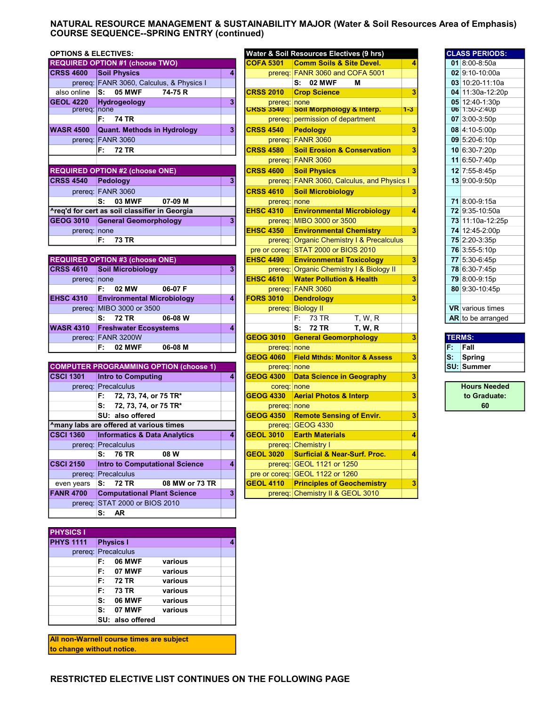## NATURAL RESOURCE MANAGEMENT & SUSTAINABILITY MAJOR (Water & Soil Resources Area of Emphasis) COURSE SEQUENCE--SPRING ENTRY (continued)

| <b>OPTIONS &amp; ELECTIVES:</b> |                                          |                |                  | Water & Soil Resources Electives (9 hrs)   |         | <b>CLASS PERIODS:</b> |
|---------------------------------|------------------------------------------|----------------|------------------|--------------------------------------------|---------|-----------------------|
|                                 | <b>REQUIRED OPTION #1 (choose TWO)</b>   |                | ICOFA 5301       | <b>Comm Soils &amp; Site Devel.</b>        |         | 01 $8:00-8:50a$       |
| <b>CRSS 4600</b>                | <b>Soil Physics</b>                      |                |                  | prereq: FANR 3060 and COFA 5001            |         | $02$ 9:10-10:00a      |
|                                 | prereq: FANR 3060, Calculus, & Physics I |                |                  | $S: 02$ MWF<br>м                           |         | 03 10:20-11:10a       |
| also online                     | <b>05 MWF</b><br>ls:<br>74-75 R          |                | <b>CRSS 2010</b> | <b>Crop Science</b>                        |         | 04 11:30a-12:20p      |
| <b>GEOL 4220</b>                | <b>Hydrogeology</b>                      | 31             | prereq: none     |                                            |         | 05 12:40-1:30p        |
| prereq: none                    |                                          |                | <b>CRSS 3540</b> | Soil Morphology & Interp.                  | $1 - 3$ | <b>06</b> 1:50-2:40p  |
|                                 | <b>74 TR</b><br>F.                       |                |                  | prereg: permission of department           |         | $07 \, 3:00 - 3:50p$  |
| <b>WASR 4500</b>                | Quant. Methods in Hydrology              | 3 <sup>1</sup> | <b>CRSS 4540</b> | <b>Pedology</b>                            |         | 08 4:10-5:00p         |
|                                 | prereq: FANR 3060                        |                |                  | prereq: FANR 3060                          |         | 09 5:20-6:10p         |
|                                 | 72 TR<br>F:                              |                | <b>CRSS 4580</b> | <b>Soil Erosion &amp; Conservation</b>     |         | 10 6:30-7:20p         |
|                                 |                                          |                |                  | prereq: FANR 3060                          |         | 11 6:50-7:40p         |
|                                 | <b>REQUIRED OPTION #2 (choose ONE)</b>   |                | <b>CRSS 4600</b> | <b>Soil Physics</b>                        |         | 12 7:55-8:45p         |
| <b>CRSS 4540</b>                | Pedology                                 |                |                  | prereq: FANR 3060, Calculus, and Physics I |         | 13 9:00-9:50p         |
|                                 | prereq: FANR 3060                        |                | <b>CRSS 4610</b> | <b>Soil Microbiology</b>                   |         |                       |
|                                 | $C_1$ $D_2$ $MME$<br>07.00 M             |                | nrorog: nono     |                                            |         | 740000450             |

| <b>03 MWF</b><br>07-09 M<br>s:                 |           | prereg: none      |                                           |  | <b>71</b> 8:00-9:15a  |
|------------------------------------------------|-----------|-------------------|-------------------------------------------|--|-----------------------|
| l^reg'd for cert as soil classifier in Georgia |           | $EHSC$ 4310       | <b>Environmental Microbiology</b>         |  | <b>72</b> 9:35-10:50a |
| <b>GEOG 3010</b><br>General Geomorphology      | <b>21</b> |                   | prereg: MIBO 3000 or 3500                 |  | 73 11:10a-12:25p      |
| prered: none                                   |           | <b>IEHSC 4350</b> | <b>Environmental Chemistry</b>            |  | 74 12:45-2:00p        |
| 73 TR                                          |           |                   | prereq: Organic Chemistry I & Precalculus |  | 75 2:20-3:35p         |

|                  | <b>REQUIRED OPTION #3 (choose ONE)</b> |         |   |                  | <b>EHSC 4490 Environmental Toxicology</b> |  |               | 77 5:30-6:45p         |
|------------------|----------------------------------------|---------|---|------------------|-------------------------------------------|--|---------------|-----------------------|
| <b>CRSS 4610</b> | <b>Soil Microbiology</b>               |         | 3 |                  | prereg: Organic Chemistry I & Biology II  |  |               | 78 6:30-7:45p         |
| prereq: none     |                                        |         |   | <b>EHSC 4610</b> | <b>Water Pollution &amp; Health</b>       |  |               | 79 8:00-9:15p         |
|                  | 02 MW<br>F: .                          | 06-07 F |   |                  | prereg: FANR 3060                         |  |               | 80 9:30-10:45         |
| <b>EHSC 4310</b> | <b>Environmental Microbiology</b>      |         | 4 | <b>FORS 3010</b> | <b>Dendrology</b>                         |  |               |                       |
|                  | prereq: MIBO 3000 or 3500              |         |   | prereg:          | <b>Biology II</b>                         |  |               | <b>VR</b> various tim |
|                  | S: 72 TR                               | 06-08 W |   |                  | F: 73 TR<br>T. W. R                       |  |               | <b>AR</b> to be arran |
| <b>WASR 4310</b> | <b>Freshwater Ecosystems</b>           |         | 4 |                  | S: 72 TR<br><b>T. W. R.</b>               |  |               |                       |
|                  | prereq: FANR 3200W                     |         |   | <b>GEOG 3010</b> | <b>General Geomorphology</b>              |  | <b>TERMS:</b> |                       |
|                  | <b>02 MWF</b><br>F: .                  | 06-08 M |   | prereq: none     |                                           |  |               | $F:$ Fall             |

|                  | <b>COMPUTER PROGRAMMING OPTION (choose 1)</b> |   | prereq: none     |                                                   |   |
|------------------|-----------------------------------------------|---|------------------|---------------------------------------------------|---|
| <b>CSCI 1301</b> | <b>Intro to Computing</b>                     | 4 |                  | <b>GEOG 4300 Data Science in Geography</b>        | 3 |
|                  | prereq: Precalculus                           |   | coreg: none      |                                                   |   |
|                  | 72, 73, 74, or 75 TR*<br>F: .                 |   |                  | GEOG 4330 Aerial Photos & Interp                  |   |
|                  | s:<br>72, 73, 74, or 75 TR*                   |   | prereq: none     |                                                   |   |
|                  | SU: also offered                              |   |                  | <b>GEOG 4350 Remote Sensing of Envir.</b>         | 3 |
|                  | Amany labs are offered at various times       |   |                  | prereq: GEOG 4330                                 |   |
| <b>CSCI 1360</b> | <b>Informatics &amp; Data Analytics</b>       | 4 |                  | <b>GEOL 3010 Earth Materials</b>                  | 4 |
|                  | prereq: Precalculus                           |   |                  | prereq: Chemistry I                               |   |
|                  | S: 76 TR<br>08 W                              |   |                  | <b>GEOL 3020 Surficial &amp; Near-Surf, Proc.</b> |   |
| <b>CSCI 2150</b> | <b>Intro to Computational Science</b>         | 4 |                  | prereq: GEOL 1121 or 1250                         |   |
|                  | prereq: Precalculus                           |   |                  | pre or coreg: GEOL 1122 or 1260                   |   |
| even years       | 08 MW or 73 TR<br>S: 72 TR                    |   | $ GEOL 4110$ $ $ | <b>Principles of Geochemistry</b>                 |   |
| <b>FANR 4700</b> | <b>Computational Plant Science</b>            | 3 |                  | prereq: Chemistry II & GEOL 3010                  |   |
|                  | prereg: STAT 2000 or BIOS 2010                |   |                  |                                                   |   |
|                  | AR.<br>s:                                     |   |                  |                                                   |   |

| <b>PHYSICS I</b>    |    |                  |         |  |  |  |  |  |  |  |
|---------------------|----|------------------|---------|--|--|--|--|--|--|--|
| <b>PHYS 1111</b>    |    | <b>Physics I</b> |         |  |  |  |  |  |  |  |
| prereq: Precalculus |    |                  |         |  |  |  |  |  |  |  |
|                     | F: | <b>06 MWF</b>    | various |  |  |  |  |  |  |  |
|                     | F: | 07 MWF           | various |  |  |  |  |  |  |  |
|                     | F: | 72 TR            | various |  |  |  |  |  |  |  |
|                     | F: | 73 TR            | various |  |  |  |  |  |  |  |
|                     | s: | <b>06 MWF</b>    | various |  |  |  |  |  |  |  |
|                     | s: | 07 MWF           | various |  |  |  |  |  |  |  |
|                     |    | SU: also offered |         |  |  |  |  |  |  |  |

All non-Warnell course times are subject to change without notice.

| <b>OPTIONS &amp; ELECTIVES:</b> |                                               |   |                                  | <b>Water &amp; Soil Resources Electives (9 hrs)</b> |         |               | <b>CLASS PERIODS:</b>           |
|---------------------------------|-----------------------------------------------|---|----------------------------------|-----------------------------------------------------|---------|---------------|---------------------------------|
|                                 | <b>REQUIRED OPTION #1 (choose TWO)</b>        |   | <b>COFA 5301</b>                 | <b>Comm Soils &amp; Site Devel.</b>                 | 4       |               | 01 $8:00-8:50a$                 |
| <b>CRSS 4600</b>                | <b>Soil Physics</b>                           | 4 |                                  | prereg: FANR 3060 and COFA 5001                     |         |               | 02 9:10-10:00a                  |
|                                 | prereq: FANR 3060, Calculus, & Physics I      |   |                                  | S: 02 MWF<br>M                                      |         |               | 03 10:20-11:10a                 |
| also online                     | <b>05 MWF</b><br>74-75 R<br>S:                |   | <b>CRSS 2010</b>                 | <b>Crop Science</b>                                 | 3       |               | 04 11:30a-12:20p                |
| <b>GEOL 4220</b>                | Hydrogeology<br>none                          | 3 | prereq: none<br><b>CRSS 3540</b> | Soil Morphology & Interp.                           | $1 - 3$ |               | 05 12:40-1:30p<br>U6 1:50-2:40p |
| prereq:                         | F:<br><b>74 TR</b>                            |   |                                  |                                                     |         |               | 07 3:00-3:50p                   |
|                                 |                                               |   |                                  | prereq: permission of department                    |         |               |                                 |
| <b>WASR 4500</b>                | <b>Quant. Methods in Hydrology</b>            | 3 | <b>CRSS 4540</b>                 | <b>Pedology</b>                                     | 3       |               | 08 4:10-5:00p                   |
|                                 | prereg: FANR 3060                             |   |                                  | prereq: FANR 3060                                   |         |               | 09 5:20-6:10p                   |
|                                 | F:<br>72 TR                                   |   | <b>CRSS 4580</b>                 | <b>Soil Erosion &amp; Conservation</b>              | 3       |               | 10 6:30-7:20p                   |
|                                 |                                               |   |                                  | prereq: FANR 3060                                   |         |               | 11 6:50-7:40p                   |
|                                 | <b>REQUIRED OPTION #2 (choose ONE)</b>        |   | <b>CRSS 4600</b>                 | <b>Soil Physics</b>                                 | 3       |               | 12 7:55-8:45p                   |
| <b>CRSS 4540</b>                | Pedology                                      | 3 |                                  | prereg: FANR 3060, Calculus, and Physics I          |         |               | 13 9:00-9:50p                   |
|                                 | prereq: FANR 3060                             |   | <b>CRSS 4610</b>                 | <b>Soil Microbiology</b>                            | 3       |               |                                 |
|                                 | 07-09 M<br>s:<br>03 MWF                       |   | prereq: none                     |                                                     |         |               | 71 8:00-9:15a                   |
|                                 | ^req'd for cert as soil classifier in Georgia |   | <b>EHSC 4310</b>                 | <b>Environmental Microbiology</b>                   | 4       |               | 72 9:35-10:50a                  |
| <b>GEOG 3010</b>                | <b>General Geomorphology</b>                  | 3 |                                  | prereq: MIBO 3000 or 3500                           |         |               | 73 11:10a-12:25p                |
| prereq: none                    |                                               |   | <b>EHSC 4350</b>                 | <b>Environmental Chemistry</b>                      | 3       |               | 74 12:45-2:00p                  |
|                                 | F.<br><b>73 TR</b>                            |   |                                  | prereg: Organic Chemistry I & Precalculus           |         |               | 75 2:20-3:35p                   |
|                                 |                                               |   |                                  | pre or coreg: STAT 2000 or BIOS 2010                |         |               | 76 3:55-5:10p                   |
|                                 | <b>REQUIRED OPTION #3 (choose ONE)</b>        |   | <b>EHSC 4490</b>                 | <b>Environmental Toxicology</b>                     | 3       |               | 77 5:30-6:45p                   |
| <b>CRSS 4610</b>                | <b>Soil Microbiology</b>                      | 3 |                                  | prereq: Organic Chemistry I & Biology II            |         |               | 78 6:30-7:45p                   |
| prereq: none                    |                                               |   | <b>EHSC 4610</b>                 | <b>Water Pollution &amp; Health</b>                 | 3       |               | 79 8:00-9:15p                   |
|                                 | 06-07 F<br>F:<br>02 MW                        |   |                                  | prereq: FANR 3060                                   |         |               | 80 9:30-10:45p                  |
| <b>EHSC 4310</b>                | <b>Environmental Microbiology</b>             | 4 | <b>FORS 3010</b>                 | <b>Dendrology</b>                                   | 3       |               |                                 |
|                                 | prereq: MIBO 3000 or 3500                     |   |                                  | prereq: Biology II                                  |         |               | <b>VR</b> various times         |
|                                 | S: 72 TR<br>06-08 W                           |   |                                  | F:<br>73 TR<br>T, W, R                              |         |               | AR to be arranged               |
| <b>WASR 4310</b>                | <b>Freshwater Ecosystems</b>                  | 4 |                                  | 72 TR<br><b>T. W. R</b><br>s:                       |         |               |                                 |
|                                 | prereq: FANR 3200W                            |   | <b>GEOG 3010</b>                 | <b>General Geomorphology</b>                        | 3       | <b>TERMS:</b> |                                 |
|                                 | 02 MWF<br>06-08 M<br>F:                       |   | prereq: none                     |                                                     |         | F.            | Fall                            |
|                                 |                                               |   | <b>GEOG 4060</b>                 | <b>Field Mthds: Monitor &amp; Assess</b>            | 3       | S.            | <b>Spring</b>                   |
|                                 | <b>COMPUTER PROGRAMMING OPTION (choose 1)</b> |   | prereq: none                     |                                                     |         |               | <b>SU: Summer</b>               |
| <b>CSCI 1301</b>                | <b>Intro to Computing</b>                     | 4 | <b>GEOG 4300</b>                 | <b>Data Science in Geography</b>                    | 3       |               |                                 |
|                                 | prereq: Precalculus                           |   | coreq: none                      |                                                     |         |               | <b>Hours Needed</b>             |
|                                 | F:<br>72, 73, 74, or 75 TR*                   |   | <b>GEOG 4330</b>                 | <b>Aerial Photos &amp; Interp</b>                   | 3       |               | to Graduate:                    |
|                                 | 72, 73, 74, or 75 TR*<br>s:                   |   | prereq: none                     |                                                     |         |               | 60                              |
|                                 | SU: also offered                              |   | <b>GEOG 4350</b>                 | <b>Remote Sensing of Envir.</b>                     | 3       |               |                                 |
|                                 | Amany labs are offered at various times       |   |                                  | prereq: GEOG 4330                                   |         |               |                                 |
| <b>CSCI 1360</b>                | <b>Informatics &amp; Data Analytics</b>       | 4 | <b>GEOL 3010</b>                 | <b>Earth Materials</b>                              | 4       |               |                                 |
|                                 | prereg: Precalculus                           |   |                                  | prereg: Chemistry I                                 |         |               |                                 |
|                                 | 08 W<br>76 TR<br>s:                           |   | <b>GEOL 3020</b>                 | <b>Surficial &amp; Near-Surf, Proc.</b>             | 4       |               |                                 |
| <b>CSCI 2150</b>                | <b>Intro to Computational Science</b>         | 4 |                                  | prereq: GEOL 1121 or 1250                           |         |               |                                 |
|                                 | prereq: Precalculus                           |   |                                  | pre or coreq: GEOL 1122 or 1260                     |         |               |                                 |
| even years                      | S:<br><b>72 TR</b><br>08 MW or 73 TR          |   | <b>GEOL 4110</b>                 | <b>Principles of Geochemistry</b>                   | 3       |               |                                 |
| <b>FANR 4700</b>                | <b>Computational Plant Science</b>            | 3 |                                  | prereq: Chemistry II & GEOL 3010                    |         |               |                                 |

|    | <b>CLASS PERIODS:</b>   |
|----|-------------------------|
| 01 | $8:00 - 8:50a$          |
|    | 02 9:10-10:00a          |
|    | 03 10:20-11:10a         |
|    | 04 11:30a-12:20p        |
|    | 05 12:40-1:30p          |
|    | U6 1:50-2:40p           |
|    | 07 3:00-3:50p           |
| 08 | 4:10-5:00p              |
| 09 | $5:20-6:10p$            |
| 10 | 6:30-7:20p              |
| 11 | 6:50-7:40p              |
| 12 | 7:55-8:45p              |
| 13 | 9:00-9:50p              |
|    |                         |
| 71 | 8:00-9:15a              |
| 72 | 9:35-10:50a             |
|    | 73 11:10a-12:25p        |
|    | 74 12:45-2:00p          |
| 75 | 2:20-3:35p              |
| 76 | $3:55-5:10p$            |
| 77 | 5:30-6:45p              |
|    | 78 6:30-7:45p           |
| 79 | 8:00-9:15p              |
| 80 | 9:30-10:45p             |
|    |                         |
|    | <b>VR</b> various times |
|    | AR to be arranged       |
|    |                         |
|    | <b>TFRMS</b>            |

| F.<br>Fall        |  |
|-------------------|--|
| S.<br>Spring      |  |
| <b>SU: Summer</b> |  |

| <b>Hours Needed</b> |
|---------------------|
| to Graduate:        |
| 60                  |